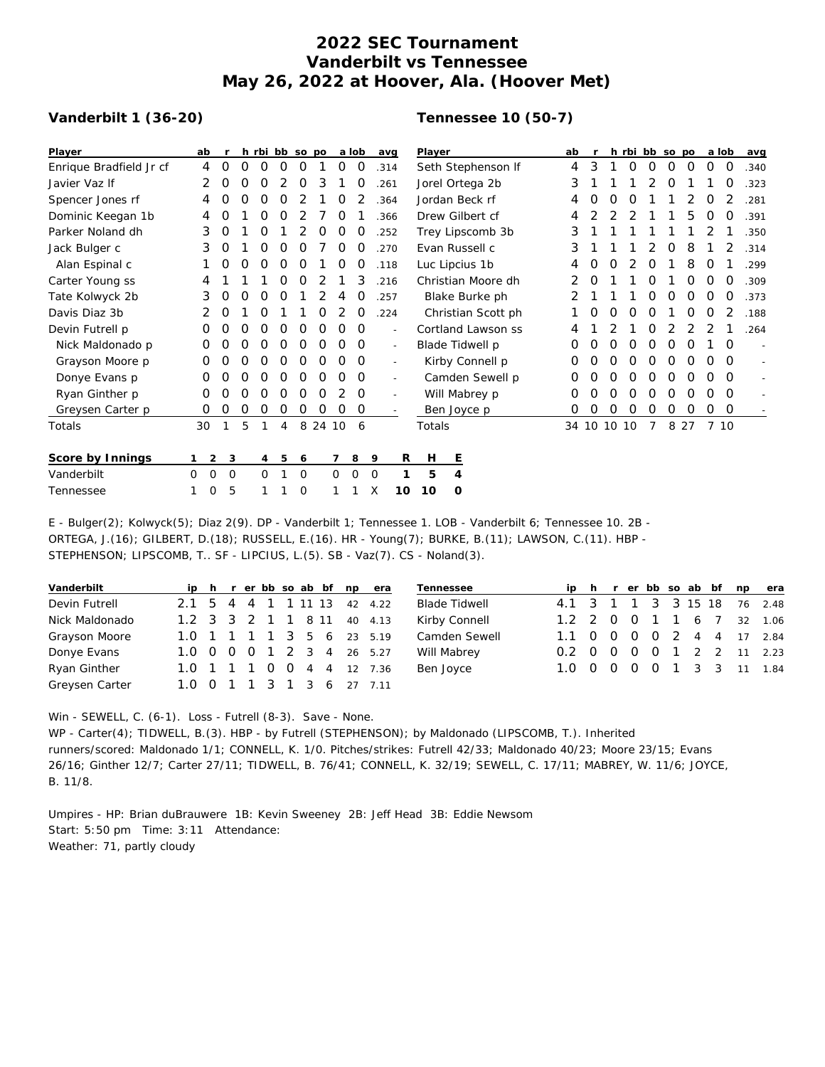## **2022 SEC Tournament Vanderbilt vs Tennessee May 26, 2022 at Hoover, Ala. (Hoover Met)**

## **Vanderbilt 1 (36-20)**

## **Tennessee 10 (50-7)**

| Player                  | ab                |                  |   | h rbi bb so po |   |             |         |             | a lob       | avg                      | Player             | ab                 |   |             |          |          | h rbi bb so po |       | a lob    |          | avg         |        |
|-------------------------|-------------------|------------------|---|----------------|---|-------------|---------|-------------|-------------|--------------------------|--------------------|--------------------|---|-------------|----------|----------|----------------|-------|----------|----------|-------------|--------|
| Enrique Bradfield Jr cf | 4                 | 0                | 0 | 0              | 0 | 0           |         | 0           | O           | .314                     | Seth Stephenson If |                    | 4 | 3           |          | 0        | 0              | 0     | 0        | 0        | 0           | .340   |
| Javier Vaz If           | 2                 | 0                | Ο | 0              | 2 | 0           | 3       |             | 0           | .261                     |                    | Jorel Ortega 2b    | 3 |             |          |          |                | O     |          |          | O           | .323   |
| Spencer Jones rf        | 4                 | 0                | 0 | 0              | Ο |             |         | O           |             | .364                     |                    | Jordan Beck rf     | 4 | O           | O        | O        |                |       |          | 0        |             | .281   |
| Dominic Keegan 1b       | 4                 | O                |   | 0              | 0 |             |         | O           |             | .366                     |                    | Drew Gilbert cf    | 4 |             |          |          |                |       | 5        | 0        | 0           | .391   |
| Parker Noland dh        | 3                 | O                |   | 0              |   |             | O       | 0           | O           | .252                     | Trey Lipscomb 3b   |                    | 3 |             |          |          |                |       |          |          |             | .350   |
| Jack Bulger c           | 3                 | 0                |   | 0              | Ο | Ο           |         | 0           | Ο           | .270                     |                    | Evan Russell c     | 3 |             |          |          |                | O     | 8        |          |             | .314   |
| Alan Espinal c          |                   | O                | 0 | Ο              | Ο | Ο           |         | 0           | 0           | .118                     |                    | Luc Lipcius 1b     |   |             |          |          | O              |       | 8        | O        |             | .299   |
| Carter Young ss         |                   |                  |   |                | 0 | O           | 2       |             | 3           | .216                     |                    | Christian Moore dh |   | O           |          |          | Ω              |       | O        | $\Omega$ | $\Omega$    | .309   |
| Tate Kolwyck 2b         | 3                 | O                | O | O              | Ο |             |         | 4           | Ο           | .257                     |                    | Blake Burke ph     |   |             |          |          | Ο              | O     | $\Omega$ | $\Omega$ | $\Omega$    | .373   |
| Davis Diaz 3b           | 2                 | 0                |   | Ο              |   |             | 0       |             | 0           | .224                     | Christian Scott ph |                    |   |             |          |          | O              |       | O        | O        |             | .188   |
| Devin Futrell p         | 0                 | Ο                | Ο | 0              | 0 | 0           | 0       | 0           | 0           | $\sim$                   | Cortland Lawson ss |                    |   |             |          |          | 0              | 2     | 2        | 2        |             | .264   |
| Nick Maldonado p        | 0                 | O                | Ω | O              | Ο | 0           | O       | Ο           | 0           | $\sim$                   | Blade Tidwell p    |                    | 0 | O           | $\Omega$ | $\Omega$ | $\Omega$       | 0     | O        |          | $\Omega$    |        |
| Grayson Moore p         | O                 | Ο                | Ο | Ο              | 0 | 0           | 0       | O           | 0           | $\sim$                   | Kirby Connell p    |                    | 0 | O           | O        | O        | O              | O     | O        | O        | $\Omega$    | $\sim$ |
| Donye Evans p           | 0                 | Ο                | Ο | O              | O | O           | 0       | O           | 0           | $\overline{\phantom{a}}$ | Camden Sewell p    |                    | 0 | O           | O        | 0        | O              | 0     | O        | $\Omega$ | $\Omega$    |        |
| Ryan Ginther p          | 0                 | Ο                | Ο | Ο              | Ο | Ο           | 0       |             | 0           | $\overline{a}$           |                    | Will Mabrey p      | 0 | O           | 0        | 0        | O              | O     | O        | $\Omega$ | $\Omega$    |        |
| Greysen Carter p        | 0                 | O                | 0 | 0              | O | 0           | 0       | 0           | $\mathbf 0$ | $\overline{\phantom{a}}$ |                    | Ben Joyce p        | 0 | 0           | $\Omega$ | 0        | 0              | 0     | 0        | 0        | $\mathbf 0$ |        |
| Totals                  | 30                |                  | 5 |                | 4 |             | 8 24 10 |             | 6           |                          | Totals             |                    |   | 34 10 10 10 |          |          | 7              | 8 2 7 |          | 7 10     |             |        |
| Score by Innings        |                   | $2^{\circ}$<br>3 |   | $\overline{4}$ | 5 | 6           |         |             | 8           | R<br>9                   | Н                  | Ε                  |   |             |          |          |                |       |          |          |             |        |
| Vanderbilt              | $\mathsf{O}$<br>0 | 0                |   | 0              |   | $\mathbf 0$ |         | $\mathbf 0$ | $\mathbf 0$ | $\mathbf 0$              | 5                  | 4                  |   |             |          |          |                |       |          |          |             |        |
| Tennessee               | 0                 | 5                |   | 1              |   | $\circ$     |         |             |             | Χ<br>10                  | 10                 | $\circ$            |   |             |          |          |                |       |          |          |             |        |

E - Bulger(2); Kolwyck(5); Diaz 2(9). DP - Vanderbilt 1; Tennessee 1. LOB - Vanderbilt 6; Tennessee 10. 2B - ORTEGA, J.(16); GILBERT, D.(18); RUSSELL, E.(16). HR - Young(7); BURKE, B.(11); LAWSON, C.(11). HBP - STEPHENSON; LIPSCOMB, T.. SF - LIPCIUS, L.(5). SB - Vaz(7). CS - Noland(3).

| Vanderbilt     |  |  |  |  | ip h r er bb so ab bf np era | Tennessee            |                             |  |  |  |  | ip h r er bb so ab bf np era |
|----------------|--|--|--|--|------------------------------|----------------------|-----------------------------|--|--|--|--|------------------------------|
| Devin Futrell  |  |  |  |  | 2.1 5 4 4 1 1 11 13 42 4.22  | <b>Blade Tidwell</b> | 4.1 3 1 1 3 3 15 18 76 2.48 |  |  |  |  |                              |
| Nick Maldonado |  |  |  |  | 1.2 3 3 2 1 1 8 11 40 4.13   | Kirby Connell        |                             |  |  |  |  | 1.2 2 0 0 1 1 6 7 32 1.06    |
| Grayson Moore  |  |  |  |  | 1.0 1 1 1 1 3 5 6 23 5.19    | Camden Sewell        | 1.1 0 0 0 0 2 4 4 17 2.84   |  |  |  |  |                              |
| Donye Evans    |  |  |  |  | 1.0 0 0 0 1 2 3 4 26 5.27    | Will Mabrey          | 0.2 0 0 0 0 1 2 2 11 2.23   |  |  |  |  |                              |
| Ryan Ginther   |  |  |  |  | 1.0 1 1 1 0 0 4 4 12 7.36    | Ben Joyce            | 1.0 0 0 0 0 1 3 3 11 1.84   |  |  |  |  |                              |
| Greysen Carter |  |  |  |  | 1.0 0 1 1 3 1 3 6 27 7.11    |                      |                             |  |  |  |  |                              |

Win - SEWELL, C. (6-1). Loss - Futrell (8-3). Save - None.

WP - Carter(4); TIDWELL, B.(3). HBP - by Futrell (STEPHENSON); by Maldonado (LIPSCOMB, T.). Inherited runners/scored: Maldonado 1/1; CONNELL, K. 1/0. Pitches/strikes: Futrell 42/33; Maldonado 40/23; Moore 23/15; Evans 26/16; Ginther 12/7; Carter 27/11; TIDWELL, B. 76/41; CONNELL, K. 32/19; SEWELL, C. 17/11; MABREY, W. 11/6; JOYCE, B. 11/8.

Umpires - HP: Brian duBrauwere 1B: Kevin Sweeney 2B: Jeff Head 3B: Eddie Newsom Start: 5:50 pm Time: 3:11 Attendance: Weather: 71, partly cloudy